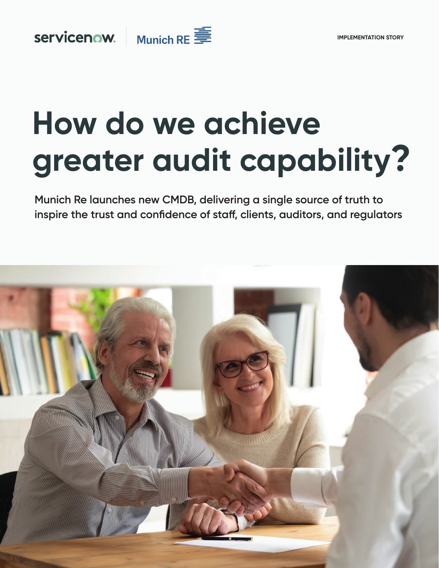

servicenow.

# **How do we achieve greater audit capability?**

**Munich Re launches new CMDB, delivering a single source of truth to inspire the trust and confidence of staff, clients, auditors, and regulators**

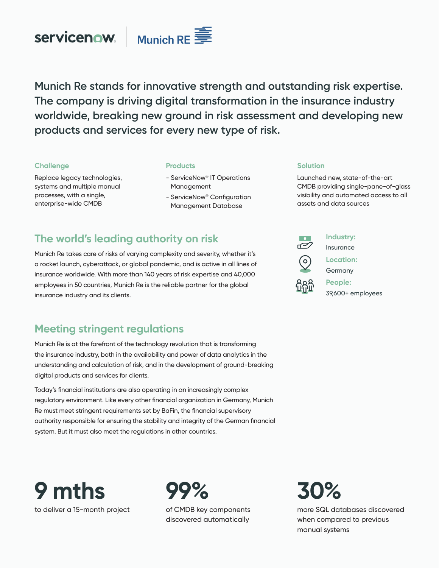



**Munich Re stands for innovative strength and outstanding risk expertise. The company is driving digital transformation in the insurance industry worldwide, breaking new ground in risk assessment and developing new products and services for every new type of risk.** 

#### **Challenge**

Replace legacy technologies, systems and multiple manual processes, with a single, enterprise-wide CMDB

#### **Products**

- ServiceNow® IT Operations Management
- ServiceNow® Configuration Management Database

#### **Solution**

Launched new, state-of-the-art CMDB providing single-pane-of-glass visibility and automated access to all assets and data sources

# **The world's leading authority on risk**

Munich Re takes care of risks of varying complexity and severity, whether it's a rocket launch, cyberattack, or global pandemic, and is active in all lines of insurance worldwide. With more than 140 years of risk expertise and 40,000 employees in 50 countries, Munich Re is the reliable partner for the global insurance industry and its clients.

#### **Meeting stringent regulations**

Munich Re is at the forefront of the technology revolution that is transforming the insurance industry, both in the availability and power of data analytics in the understanding and calculation of risk, and in the development of ground-breaking digital products and services for clients.

Today's financial institutions are also operating in an increasingly complex regulatory environment. Like every other financial organization in Germany, Munich Re must meet stringent requirements set by BaFin, the financial supervisory authority responsible for ensuring the stability and integrity of the German financial system. But it must also meet the regulations in other countries.

**9 mths** to deliver a 15-month project



of CMDB key components discovered automatically



# **30%**

more SQL databases discovered when compared to previous manual systems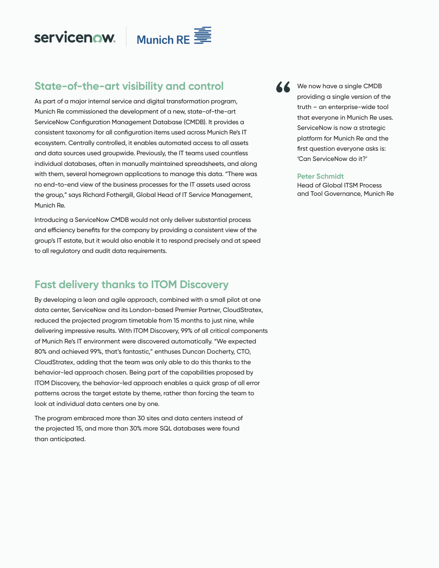servicenow.



# **State-of-the-art visibility and control**

As part of a major internal service and digital transformation program, Munich Re commissioned the development of a new, state-of-the-art ServiceNow Configuration Management Database (CMDB). It provides a consistent taxonomy for all configuration items used across Munich Re's IT ecosystem. Centrally controlled, it enables automated access to all assets and data sources used groupwide. Previously, the IT teams used countless individual databases, often in manually maintained spreadsheets, and along with them, several homegrown applications to manage this data. "There was no end-to-end view of the business processes for the IT assets used across the group," says Richard Fothergill, Global Head of IT Service Management, Munich Re.

Introducing a ServiceNow CMDB would not only deliver substantial process and efficiency benefits for the company by providing a consistent view of the group's IT estate, but it would also enable it to respond precisely and at speed to all regulatory and audit data requirements.

### **Fast delivery thanks to ITOM Discovery**

By developing a lean and agile approach, combined with a small pilot at one data center, ServiceNow and its London-based Premier Partner, CloudStratex, reduced the projected program timetable from 15 months to just nine, while delivering impressive results. With ITOM Discovery, 99% of all critical components of Munich Re's IT environment were discovered automatically. "We expected 80% and achieved 99%, that's fantastic," enthuses Duncan Docherty, CTO, CloudStratex, adding that the team was only able to do this thanks to the behavior-led approach chosen. Being part of the capabilities proposed by ITOM Discovery, the behavior-led approach enables a quick grasp of all error patterns across the target estate by theme, rather than forcing the team to look at individual data centers one by one.

The program embraced more than 30 sites and data centers instead of the projected 15, and more than 30% more SQL databases were found than anticipated.

We now have a single CMDB providing a single version of the truth – an enterprise-wide tool that everyone in Munich Re uses. ServiceNow is now a strategic platform for Munich Re and the first question everyone asks is: 'Can ServiceNow do it?'

#### **Peter Schmidt**

Head of Global ITSM Process and Tool Governance, Munich Re